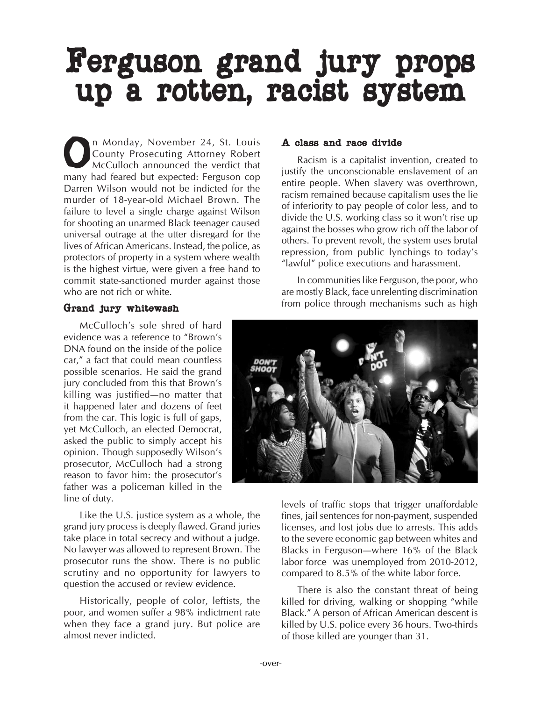# Ferguson grand jury props up a rotten, racist system

On Monday, November 24, St. Louis<br>County Prosecuting Attorney Robert<br>McCulloch announced the verdict that County Prosecuting Attorney Robert McCulloch announced the verdict that many had feared but expected: Ferguson cop Darren Wilson would not be indicted for the murder of 18-year-old Michael Brown. The failure to level a single charge against Wilson for shooting an unarmed Black teenager caused universal outrage at the utter disregard for the lives of African Americans. Instead, the police, as protectors of property in a system where wealth is the highest virtue, were given a free hand to commit state-sanctioned murder against those who are not rich or white.

## A class and race divide

Racism is a capitalist invention, created to justify the unconscionable enslavement of an entire people. When slavery was overthrown, racism remained because capitalism uses the lie of inferiority to pay people of color less, and to divide the U.S. working class so it won't rise up against the bosses who grow rich off the labor of others. To prevent revolt, the system uses brutal repression, from public lynchings to today's "lawful" police executions and harassment.

In communities like Ferguson, the poor, who are mostly Black, face unrelenting discrimination from police through mechanisms such as high

#### Grand jury whitewash

McCulloch's sole shred of hard evidence was a reference to "Brown's DNA found on the inside of the police car," a fact that could mean countless possible scenarios. He said the grand jury concluded from this that Brown's killing was justified—no matter that it happened later and dozens of feet from the car. This logic is full of gaps, yet McCulloch, an elected Democrat, asked the public to simply accept his opinion. Though supposedly Wilson's prosecutor, McCulloch had a strong reason to favor him: the prosecutor's father was a policeman killed in the line of duty.

Like the U.S. justice system as a whole, the grand jury process is deeply flawed. Grand juries take place in total secrecy and without a judge. No lawyer was allowed to represent Brown. The prosecutor runs the show. There is no public scrutiny and no opportunity for lawyers to question the accused or review evidence.

Historically, people of color, leftists, the poor, and women suffer a 98% indictment rate when they face a grand jury. But police are almost never indicted.



levels of traffic stops that trigger unaffordable fines, jail sentences for non-payment, suspended licenses, and lost jobs due to arrests. This adds to the severe economic gap between whites and Blacks in Ferguson—where 16% of the Black labor force was unemployed from 2010-2012, compared to 8.5% of the white labor force.

There is also the constant threat of being killed for driving, walking or shopping "while Black." A person of African American descent is killed by U.S. police every 36 hours. Two-thirds of those killed are younger than 31.